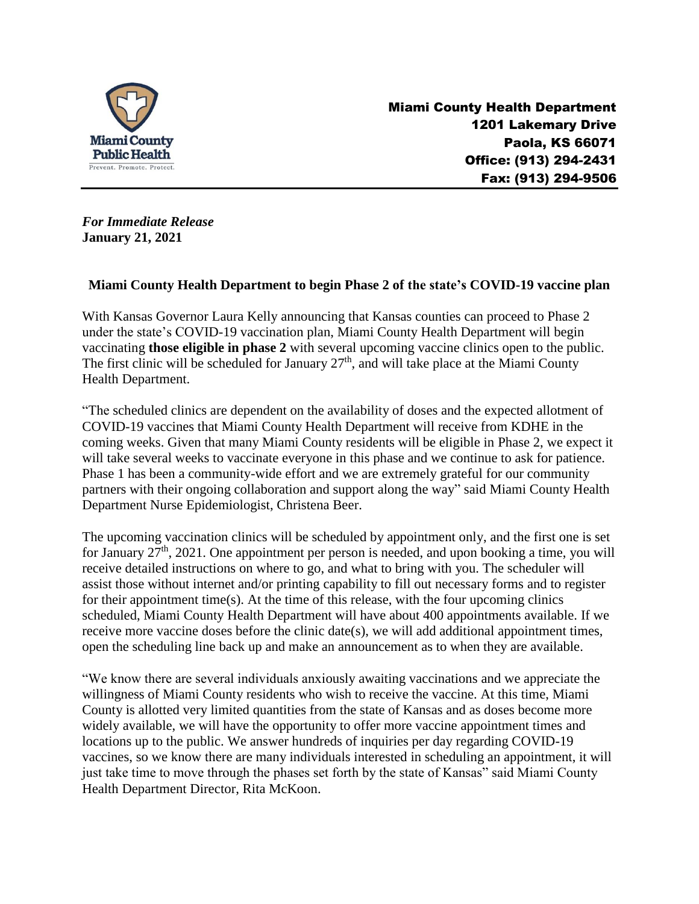

 Miami County Health Department 1201 Lakemary Drive Paola, KS 66071 Office: (913) 294-2431 Fax: (913) 294-9506

*For Immediate Release* **January 21, 2021**

## **Miami County Health Department to begin Phase 2 of the state's COVID-19 vaccine plan**

With Kansas Governor Laura Kelly announcing that Kansas counties can proceed to Phase 2 under the state's COVID-19 vaccination plan, Miami County Health Department will begin vaccinating **those eligible in phase 2** with several upcoming vaccine clinics open to the public. The first clinic will be scheduled for January  $27<sup>th</sup>$ , and will take place at the Miami County Health Department.

"The scheduled clinics are dependent on the availability of doses and the expected allotment of COVID-19 vaccines that Miami County Health Department will receive from KDHE in the coming weeks. Given that many Miami County residents will be eligible in Phase 2, we expect it will take several weeks to vaccinate everyone in this phase and we continue to ask for patience. Phase 1 has been a community-wide effort and we are extremely grateful for our community partners with their ongoing collaboration and support along the way" said Miami County Health Department Nurse Epidemiologist, Christena Beer.

The upcoming vaccination clinics will be scheduled by appointment only, and the first one is set for January  $27<sup>th</sup>$ , 2021. One appointment per person is needed, and upon booking a time, you will receive detailed instructions on where to go, and what to bring with you. The scheduler will assist those without internet and/or printing capability to fill out necessary forms and to register for their appointment time(s). At the time of this release, with the four upcoming clinics scheduled, Miami County Health Department will have about 400 appointments available. If we receive more vaccine doses before the clinic date(s), we will add additional appointment times, open the scheduling line back up and make an announcement as to when they are available.

"We know there are several individuals anxiously awaiting vaccinations and we appreciate the willingness of Miami County residents who wish to receive the vaccine. At this time, Miami County is allotted very limited quantities from the state of Kansas and as doses become more widely available, we will have the opportunity to offer more vaccine appointment times and locations up to the public. We answer hundreds of inquiries per day regarding COVID-19 vaccines, so we know there are many individuals interested in scheduling an appointment, it will just take time to move through the phases set forth by the state of Kansas" said Miami County Health Department Director, Rita McKoon.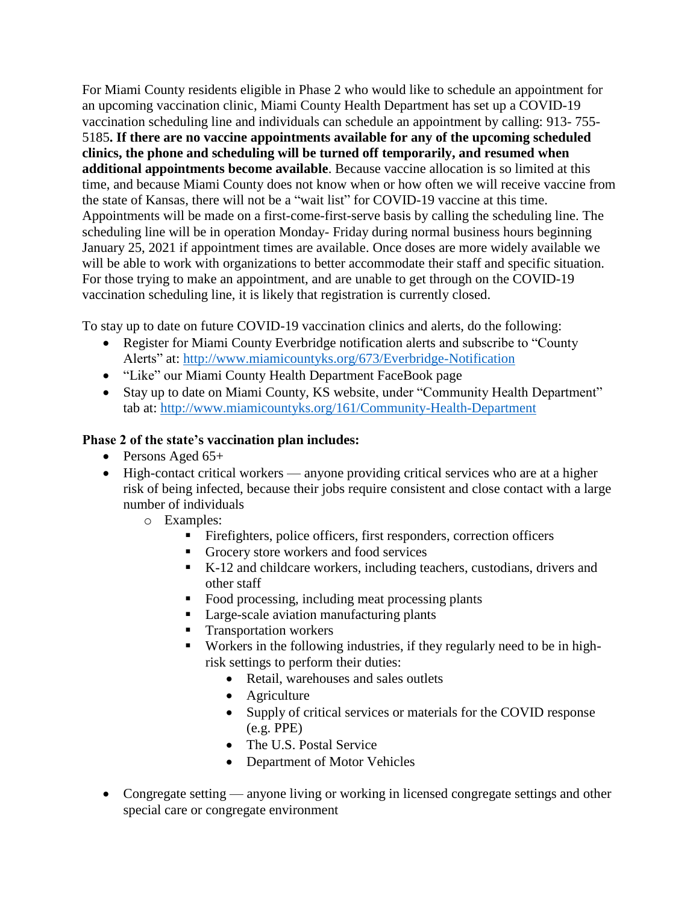For Miami County residents eligible in Phase 2 who would like to schedule an appointment for an upcoming vaccination clinic, Miami County Health Department has set up a COVID-19 vaccination scheduling line and individuals can schedule an appointment by calling: 913- 755- 5185**. If there are no vaccine appointments available for any of the upcoming scheduled clinics, the phone and scheduling will be turned off temporarily, and resumed when additional appointments become available**. Because vaccine allocation is so limited at this time, and because Miami County does not know when or how often we will receive vaccine from the state of Kansas, there will not be a "wait list" for COVID-19 vaccine at this time. Appointments will be made on a first-come-first-serve basis by calling the scheduling line. The scheduling line will be in operation Monday- Friday during normal business hours beginning January 25, 2021 if appointment times are available. Once doses are more widely available we will be able to work with organizations to better accommodate their staff and specific situation. For those trying to make an appointment, and are unable to get through on the COVID-19 vaccination scheduling line, it is likely that registration is currently closed.

To stay up to date on future COVID-19 vaccination clinics and alerts, do the following:

- Register for Miami County Everbridge notification alerts and subscribe to "County" Alerts" at:<http://www.miamicountyks.org/673/Everbridge-Notification>
- "Like" our Miami County Health Department FaceBook page
- Stay up to date on Miami County, KS website, under "Community Health Department" tab at:<http://www.miamicountyks.org/161/Community-Health-Department>

## **Phase 2 of the state's vaccination plan includes:**

- Persons Aged  $65+$
- High-contact critical workers anyone providing critical services who are at a higher risk of being infected, because their jobs require consistent and close contact with a large number of individuals
	- o Examples:
		- Firefighters, police officers, first responders, correction officers
		- Grocery store workers and food services
		- K-12 and childcare workers, including teachers, custodians, drivers and other staff
		- Food processing, including meat processing plants
		- **Large-scale aviation manufacturing plants**
		- Transportation workers
		- Workers in the following industries, if they regularly need to be in highrisk settings to perform their duties:
			- Retail, warehouses and sales outlets
			- Agriculture
			- Supply of critical services or materials for the COVID response (e.g. PPE)
			- The U.S. Postal Service
			- Department of Motor Vehicles
- Congregate setting anyone living or working in licensed congregate settings and other special care or congregate environment